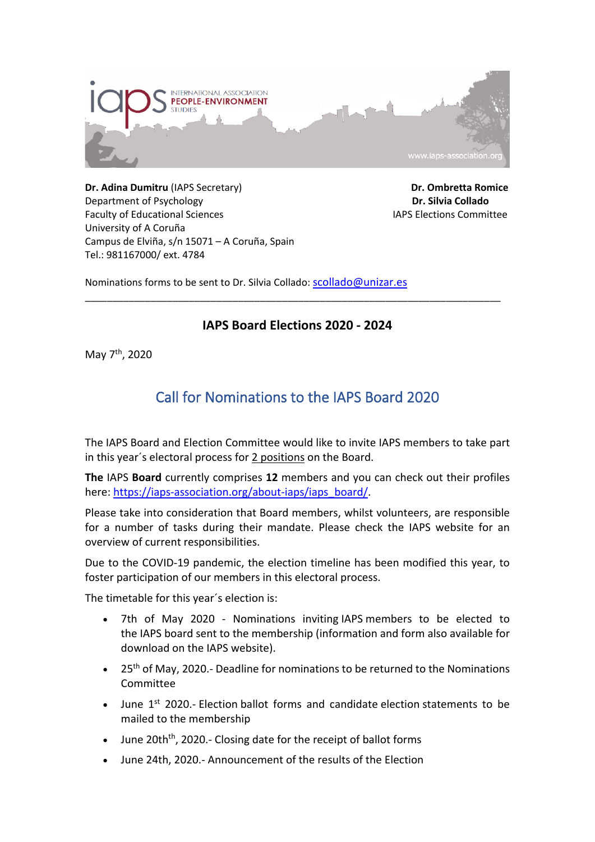

**Dr. Adina Dumitru** (IAPS Secretary) **Dr. Ombretta Romice** Department of Psychology **Dr. Silvia Collado** Faculty of Educational Sciences **IAPS** Elections Committee University of A Coruña Campus de Elviña, s/n 15071 – A Coruña, Spain Tel.: 981167000/ ext. 4784

Nominations forms to be sent to Dr. Silvia Collado: [scollado@unizar.es](mailto:scollado@unizar.es)

## **IAPS Board Elections 2020 - 2024**

\_\_\_\_\_\_\_\_\_\_\_\_\_\_\_\_\_\_\_\_\_\_\_\_\_\_\_\_\_\_\_\_\_\_\_\_\_\_\_\_\_\_\_\_\_\_\_\_\_\_\_\_\_\_\_\_\_\_\_\_\_\_\_\_\_\_\_\_\_\_\_\_\_\_\_\_

May 7th, 2020

## Call for Nominations to the IAPS Board 2020

The IAPS Board and Election Committee would like to invite IAPS members to take part in this year´s electoral process for 2 positions on the Board.

**The** IAPS **Board** currently comprises **12** members and you can check out their profiles here: [https://iaps-association.org/about-iaps/iaps\\_board/.](https://iaps-association.org/about-iaps/iaps_board/)

Please take into consideration that Board members, whilst volunteers, are responsible for a number of tasks during their mandate. Please check the IAPS website for an overview of current responsibilities.

Due to the COVID-19 pandemic, the election timeline has been modified this year, to foster participation of our members in this electoral process.

The timetable for this year´s election is:

- 7th of May 2020 Nominations inviting IAPS members to be elected to the IAPS board sent to the membership (information and form also available for download on the IAPS website).
- 25<sup>th</sup> of May, 2020.- Deadline for nominations to be returned to the Nominations Committee
- June 1<sup>st</sup> 2020.- Election ballot forms and candidate election statements to be mailed to the membership
- June 20th<sup>th</sup>, 2020.- Closing date for the receipt of ballot forms
- June 24th, 2020.- Announcement of the results of the Election